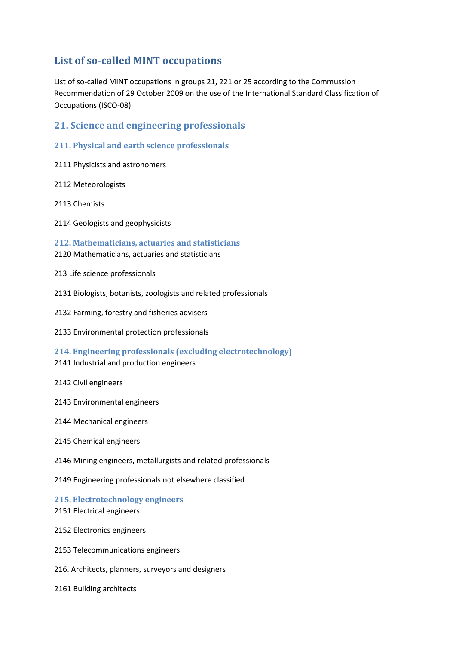# **List of so-called MINT occupations**

List of so-called MINT occupations in groups 21, 221 or 25 according to the Commussion Recommendation of 29 October 2009 on the use of the International Standard Classification of Occupations (ISCO-08)

# **21. Science and engineering professionals**

- **211. Physical and earth science professionals**
- 2111 Physicists and astronomers
- 2112 Meteorologists
- 2113 Chemists
- 2114 Geologists and geophysicists

**212. Mathematicians, actuaries and statisticians** 2120 Mathematicians, actuaries and statisticians

- 213 Life science professionals
- 2131 Biologists, botanists, zoologists and related professionals
- 2132 Farming, forestry and fisheries advisers
- 2133 Environmental protection professionals

**214. Engineering professionals (excluding electrotechnology)** 2141 Industrial and production engineers

- 2142 Civil engineers
- 2143 Environmental engineers
- 2144 Mechanical engineers
- 2145 Chemical engineers
- 2146 Mining engineers, metallurgists and related professionals
- 2149 Engineering professionals not elsewhere classified

**215. Electrotechnology engineers** 2151 Electrical engineers

- 2152 Electronics engineers
- 2153 Telecommunications engineers
- 216. Architects, planners, surveyors and designers

2161 Building architects